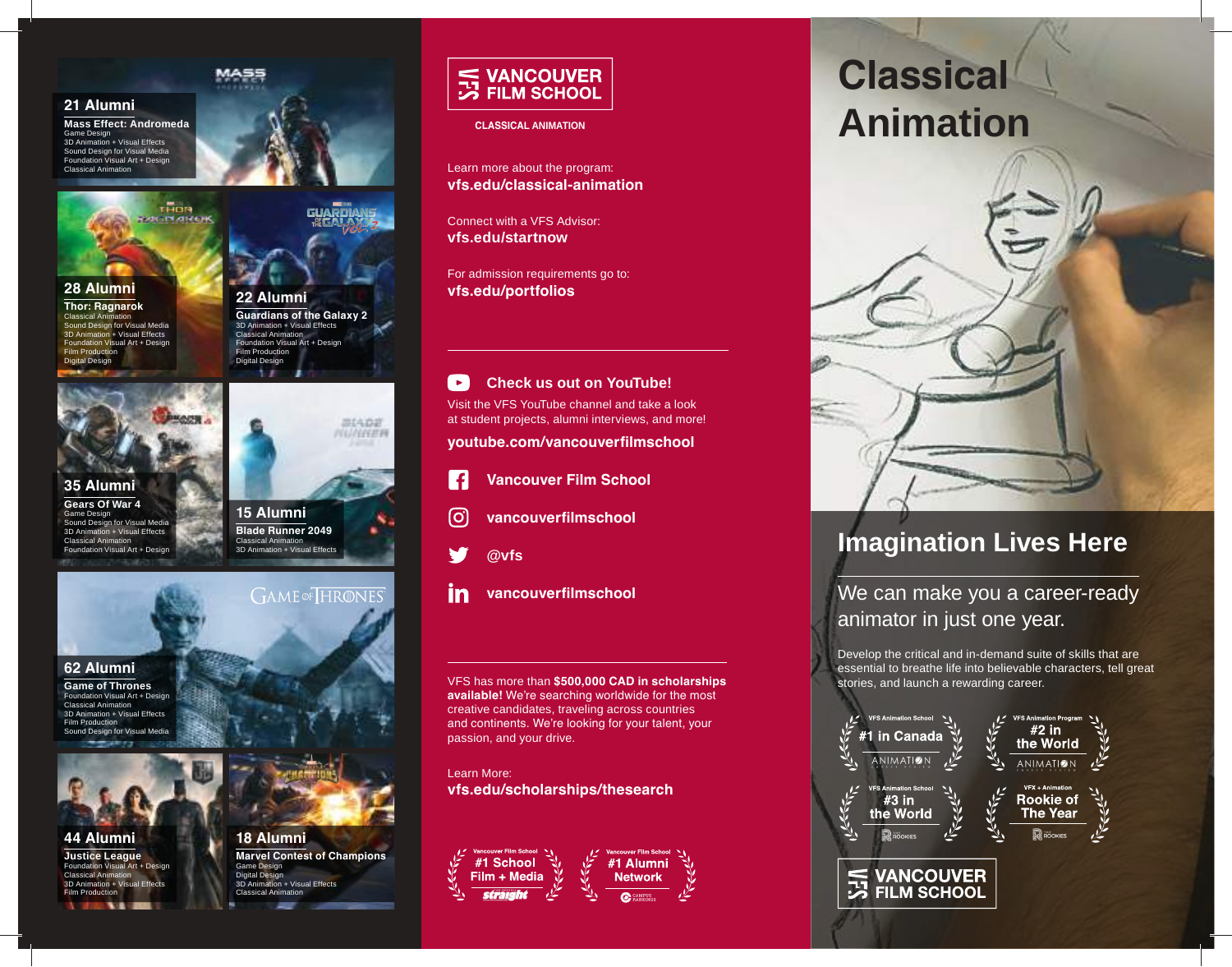#### **21 Alumni**

**Mass Effect: Andromeda**  Game Design 3D Animation + Visual Effects Sound Design for Visual Media

Foundation Visual Art + Design Classical Animation



## **28 Alumni**

**Thor: Ragnarok** Classical Animation Sound Design for Visual Media 3D Animation + Visual Effects Foundation Visual Art + Design **Film Production** Digital Design



**MASS** 



**Gears Of War 4** Game Design Sound Design for Visual Media 3D Animation + Visual Effects Classical Animation Foundation Visual Art + Design



#### **62 Alumni**

**Game of Thrones** Foundation Visual Art + Design Classical Animation 3D Animation + Visual Effects Film Production Sound Design for Visual Media



**44 Alumni Justice League** Foundation Visual Art + Design Classical Animation 3D Animation + Visual Effects Film Production



**15 Alumni Blade Runner 2049**



Classical Animation 3D Animation + Visual Effects



**18 Alumni Marvel Contest of Champions** Game Design Digital Design<br>3D Animation + Visual Effects Classical Animation



#### **CLASSICAL ANIMATION**

Learn more about the program: **vfs.edu/classical-animation**

Connect with a VFS Advisor: **vfs.edu/startnow**

For admission requirements go to: **vfs.edu/portfolios**

#### $\rightarrow$ **Check us out on YouTube!**

Visit the VFS YouTube channel and take a look at student projects, alumni interviews, and more!

**youtube.com/vancouverfilmschool**



- **Vancouver Film School**
- [ဝ] **vancouverfilmschool**



- 
- in **vancouverfilmschool**

VFS has more than **\$500,000 CAD in scholarships available!** We're searching worldwide for the most creative candidates, traveling across countries and continents. We're looking for your talent, your passion, and your drive.

Learn More: **vfs.edu/scholarships/thesearch**



# **Classical Animation**



## **Imagination Lives Here**

We can make you a career-ready animator in just one year.

Develop the critical and in-demand suite of skills that are essential to breathe life into believable characters, tell great stories, and launch a rewarding career.